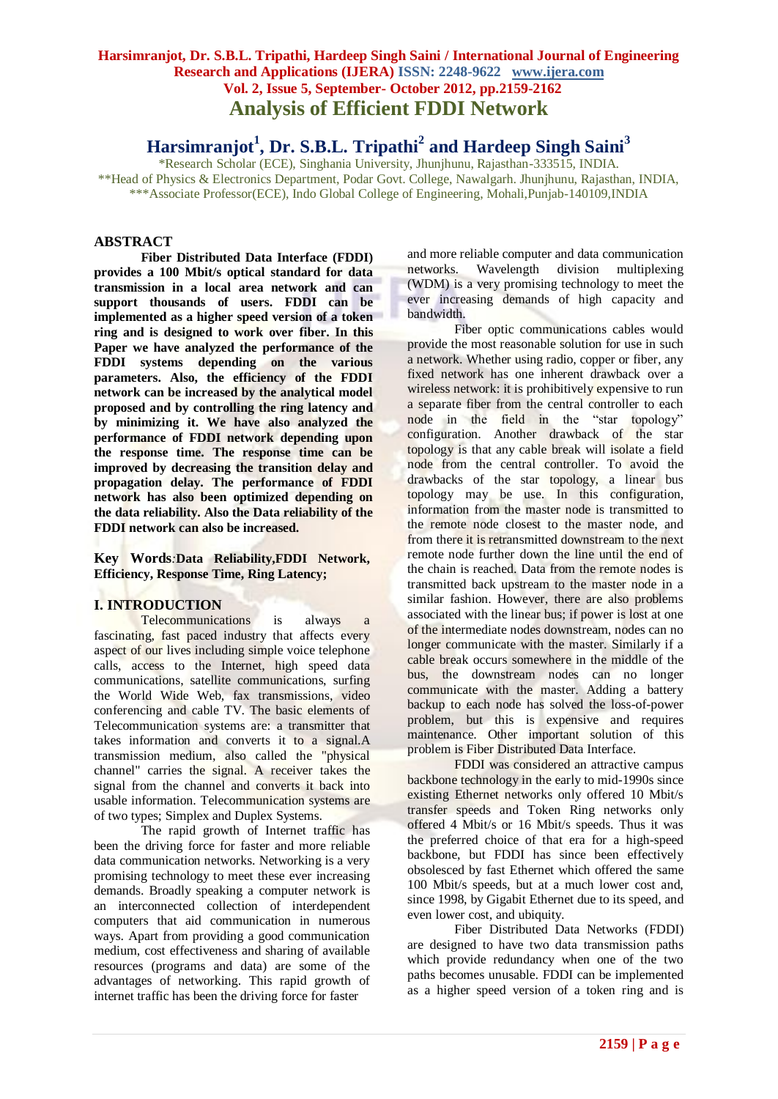## **Harsimranjot, Dr. S.B.L. Tripathi, Hardeep Singh Saini / International Journal of Engineering Research and Applications (IJERA) ISSN: 2248-9622 www.ijera.com Vol. 2, Issue 5, September- October 2012, pp.2159-2162 Analysis of Efficient FDDI Network**

# **Harsimranjot<sup>1</sup> , Dr. S.B.L. Tripathi<sup>2</sup> and Hardeep Singh Saini<sup>3</sup>**

\*Research Scholar (ECE), Singhania University, Jhunjhunu, Rajasthan-333515, INDIA. \*\*Head of Physics & Electronics Department, Podar Govt. College, Nawalgarh. Jhunjhunu, Rajasthan, INDIA, \*\*\*Associate Professor(ECE), Indo Global College of Engineering, Mohali,Punjab-140109,INDIA

## **ABSTRACT**

**Fiber Distributed Data Interface (FDDI) provides a 100 Mbit/s optical standard for data transmission in a local area network and can support thousands of users. FDDI can be implemented as a higher speed version of a token ring and is designed to work over fiber. In this Paper we have analyzed the performance of the FDDI systems depending on the various parameters. Also, the efficiency of the FDDI network can be increased by the analytical model proposed and by controlling the ring latency and by minimizing it. We have also analyzed the performance of FDDI network depending upon the response time. The response time can be improved by decreasing the transition delay and propagation delay. The performance of FDDI network has also been optimized depending on the data reliability. Also the Data reliability of the FDDI network can also be increased.**

#### **Key Words***:***Data Reliability,FDDI Network, Efficiency, Response Time, Ring Latency;**

## **I. INTRODUCTION**

Telecommunications is always a fascinating, fast paced industry that affects every aspect of our lives including simple voice telephone calls, access to the Internet, high speed data communications, satellite communications, surfing the World Wide Web, fax transmissions, video conferencing and cable TV. The basic elements of Telecommunication systems are: a transmitter that takes information and converts it to a [signal.](http://en.wikipedia.org/wiki/Signal_%28electrical_engineering%29)A [transmission medium,](http://en.wikipedia.org/wiki/Transmission_medium) also called the "physical channel" carries the signal. A [receiver](http://en.wikipedia.org/wiki/Receiver_%28radio%29) takes the signal from the channel and converts it back into usable information. Telecommunication systems are of two types; Simplex and Duplex Systems.

The rapid growth of Internet traffic has been the driving force for faster and more reliable data communication networks. Networking is a very promising technology to meet these ever increasing demands. Broadly speaking a computer network is an interconnected collection of interdependent computers that aid communication in numerous ways. Apart from providing a good communication medium, cost effectiveness and sharing of available resources (programs and data) are some of the advantages of networking. This rapid growth of internet traffic has been the driving force for faster

and more reliable computer and data communication networks. Wavelength division multiplexing (WDM) is a very promising technology to meet the ever increasing demands of high capacity and bandwidth.

Fiber optic communications cables would provide the most reasonable solution for use in such a network. Whether using radio, copper or fiber, any fixed network has one inherent drawback over a wireless network: it is prohibitively expensive to run a separate fiber from the central controller to each node in the field in the "star topology" configuration. Another drawback of the star topology is that any cable break will isolate a field node from the central controller. To avoid the drawbacks of the star topology, a linear bus topology may be use. In this configuration, information from the master node is transmitted to the remote node closest to the master node, and from there it is retransmitted downstream to the next remote node further down the line until the end of the chain is reached. Data from the remote nodes is transmitted back upstream to the master node in a similar fashion. However, there are also problems associated with the linear bus; if power is lost at one of the intermediate nodes downstream, nodes can no longer communicate with the master. Similarly if a cable break occurs somewhere in the middle of the bus, the downstream nodes can no longer communicate with the master. Adding a battery backup to each node has solved the loss-of-power problem, but this is expensive and requires maintenance. Other important solution of this problem is Fiber Distributed Data Interface.

FDDI was considered an attractive campus backbone technology in the early to mid-1990s since existing Ethernet networks only offered 10 Mbit/s transfer speeds and Token Ring networks only offered 4 Mbit/s or 16 Mbit/s speeds. Thus it was the preferred choice of that era for a high-speed backbone, but FDDI has since been effectively obsolesced by fast Ethernet which offered the same 100 Mbit/s speeds, but at a much lower cost and, since 1998, by Gigabit Ethernet due to its speed, and even lower cost, and ubiquity.

Fiber Distributed Data Networks (FDDI) are designed to have two data transmission paths which provide redundancy when one of the two paths becomes unusable. FDDI can be implemented as a higher speed version of a token ring and is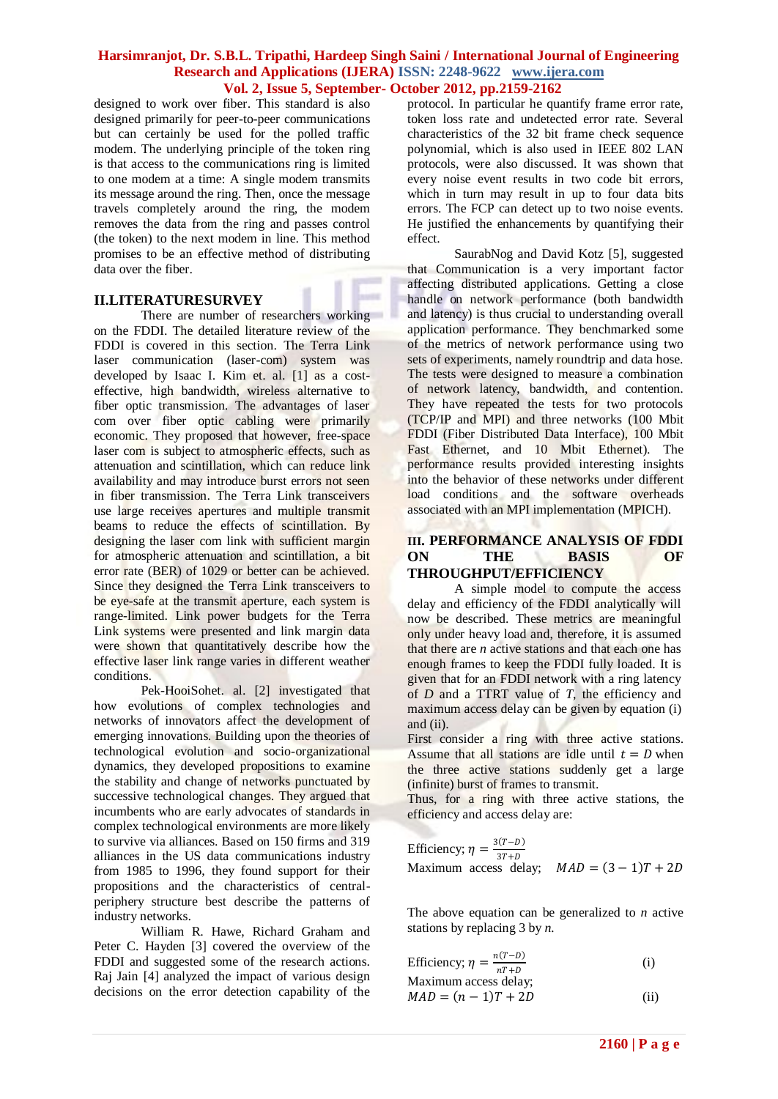### **Harsimranjot, Dr. S.B.L. Tripathi, Hardeep Singh Saini / International Journal of Engineering Research and Applications (IJERA) ISSN: 2248-9622 www.ijera.com Vol. 2, Issue 5, September- October 2012, pp.2159-2162**

designed to work over fiber. This standard is also designed primarily for peer-to-peer communications but can certainly be used for the polled traffic modem. The underlying principle of the token ring is that access to the communications ring is limited to one modem at a time: A single modem transmits its message around the ring. Then, once the message travels completely around the ring, the modem removes the data from the ring and passes control (the token) to the next modem in line. This method promises to be an effective method of distributing data over the fiber.

## **II.LITERATURESURVEY**

There are number of researchers working on the FDDI. The detailed literature review of the FDDI is covered in this section. The Terra Link laser communication (laser-com) system was developed by Isaac I. Kim et. al. [1] as a costeffective, high bandwidth, wireless alternative to fiber optic transmission. The advantages of laser com over fiber optic cabling were primarily economic. They proposed that however, free-space laser com is subject to atmospheric effects, such as attenuation and scintillation, which can reduce link availability and may introduce burst errors not seen in fiber transmission. The Terra Link transceivers use large receives apertures and multiple transmit beams to reduce the effects of scintillation. By designing the laser com link with sufficient margin for atmospheric attenuation and scintillation, a bit error rate (BER) of 1029 or better can be achieved. Since they designed the Terra Link transceivers to be eye-safe at the transmit aperture, each system is range-limited. Link power budgets for the Terra Link systems were presented and link margin data were shown that quantitatively describe how the effective laser link range varies in different weather conditions.

Pek-HooiSohet. al. [2] investigated that how evolutions of complex technologies and networks of innovators affect the development of emerging innovations. Building upon the theories of technological evolution and socio-organizational dynamics, they developed propositions to examine the stability and change of networks punctuated by successive technological changes. They argued that incumbents who are early advocates of standards in complex technological environments are more likely to survive via alliances. Based on 150 firms and 319 alliances in the US data communications industry from 1985 to 1996, they found support for their propositions and the characteristics of centralperiphery structure best describe the patterns of industry networks.

William R. Hawe, Richard Graham and Peter C. Hayden [3] covered the overview of the FDDI and suggested some of the research actions. Raj Jain [4] analyzed the impact of various design decisions on the error detection capability of the protocol. In particular he quantify frame error rate, token loss rate and undetected error rate. Several characteristics of the 32 bit frame check sequence polynomial, which is also used in IEEE 802 LAN protocols, were also discussed. It was shown that every noise event results in two code bit errors, which in turn may result in up to four data bits errors. The FCP can detect up to two noise events. He justified the enhancements by quantifying their effect.

SaurabNog and David Kotz [5], suggested that Communication is a very important factor affecting distributed applications. Getting a close handle on network performance (both bandwidth and latency) is thus crucial to understanding overall application performance. They benchmarked some of the metrics of network performance using two sets of experiments, namely roundtrip and data hose. The tests were designed to measure a combination of network latency, bandwidth, and contention. They have repeated the tests for two protocols (TCP/IP and MPI) and three networks (100 Mbit FDDI (Fiber Distributed Data Interface), 100 Mbit Fast Ethernet, and 10 Mbit Ethernet). The performance results provided interesting insights into the behavior of these networks under different load conditions and the software overheads associated with an MPI implementation (MPICH).

## **III. PERFORMANCE ANALYSIS OF FDDI ON THE BASIS OF THROUGHPUT/EFFICIENCY**

A simple model to compute the access delay and efficiency of the FDDI analytically will now be described. These metrics are meaningful only under heavy load and, therefore, it is assumed that there are *n* active stations and that each one has enough frames to keep the FDDI fully loaded. It is given that for an FDDI network with a ring latency of *D* and a TTRT value of *T*, the efficiency and maximum access delay can be given by equation (i) and (ii).

First consider a ring with three active stations. Assume that all stations are idle until  $t = D$  when the three active stations suddenly get a large (infinite) burst of frames to transmit.

Thus, for a ring with three active stations, the efficiency and access delay are:

Efficiency;  $\eta = \frac{3(T-D)}{2T+D}$  $\frac{3T+D}{3T+D}$ <br>Maximum access delay;  $MAD = (3-1)T + 2D$ 

The above equation can be generalized to *n* active stations by replacing 3 by *n.*

Efficiency; 
$$
\eta = \frac{n(T - D)}{nT + D}
$$
 (i)  
Movimum scores delay:

Maximum access delay;  

$$
MAD = (n-1)T + 2D
$$
 (ii)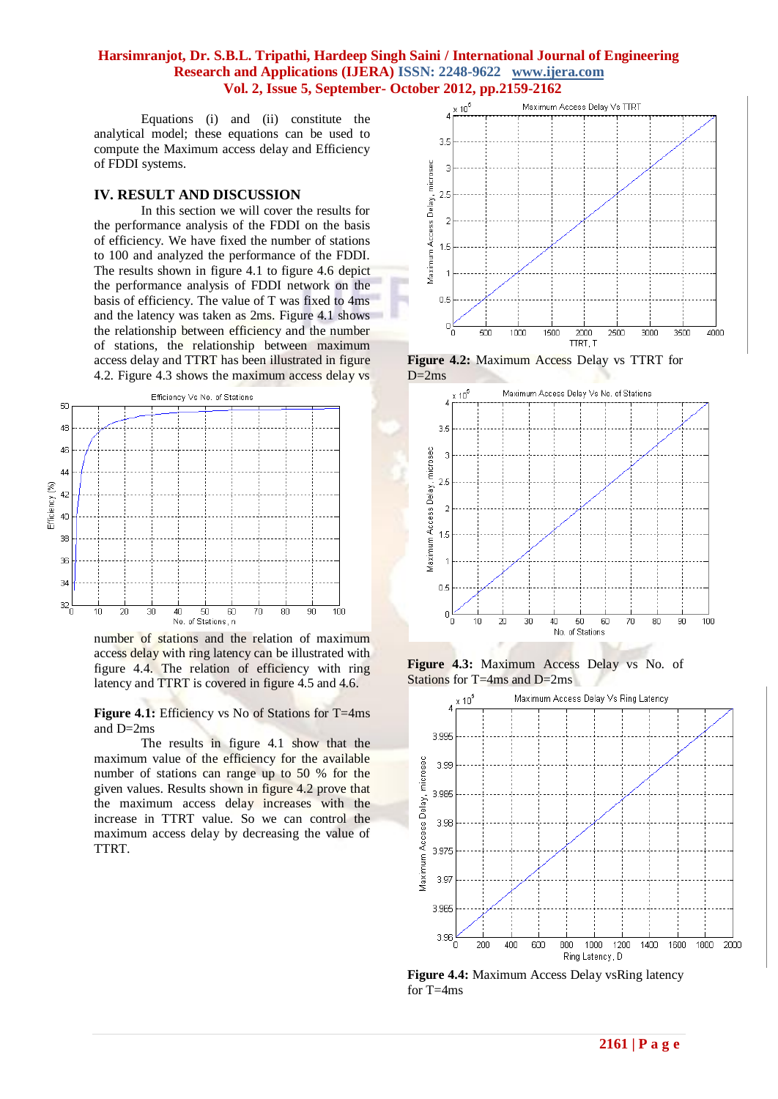### **Harsimranjot, Dr. S.B.L. Tripathi, Hardeep Singh Saini / International Journal of Engineering Research and Applications (IJERA) ISSN: 2248-9622 www.ijera.com Vol. 2, Issue 5, September- October 2012, pp.2159-2162**

Equations (i) and (ii) constitute the analytical model; these equations can be used to compute the Maximum access delay and Efficiency of FDDI systems.

#### **IV. RESULT AND DISCUSSION**

In this section we will cover the results for the performance analysis of the FDDI on the basis of efficiency. We have fixed the number of stations to 100 and analyzed the performance of the FDDI. The results shown in figure 4.1 to figure 4.6 depict the performance analysis of FDDI network on the basis of efficiency. The value of T was fixed to 4ms and the latency was taken as 2ms. Figure 4.1 shows the relationship between efficiency and the number of stations, the relationship between maximum access delay and TTRT has been illustrated in figure 4.2. Figure 4.3 shows the maximum access delay vs



number of stations and the relation of maximum access delay with ring latency can be illustrated with figure 4.4. The relation of efficiency with ring latency and TTRT is covered in figure 4.5 and 4.6.

**Figure 4.1:** Efficiency vs No of Stations for T=4ms and D=2ms

The results in figure 4.1 show that the maximum value of the efficiency for the available number of stations can range up to 50 % for the given values. Results shown in figure 4.2 prove that the maximum access delay increases with the increase in TTRT value. So we can control the maximum access delay by decreasing the value of TTRT.



**Figure 4.2:** Maximum Access Delay vs TTRT for  $D=2ms$ 



**Figure 4.3:** Maximum Access Delay vs No. of Stations for T=4ms and D=2ms



**Figure 4.4:** Maximum Access Delay vsRing latency for T=4ms